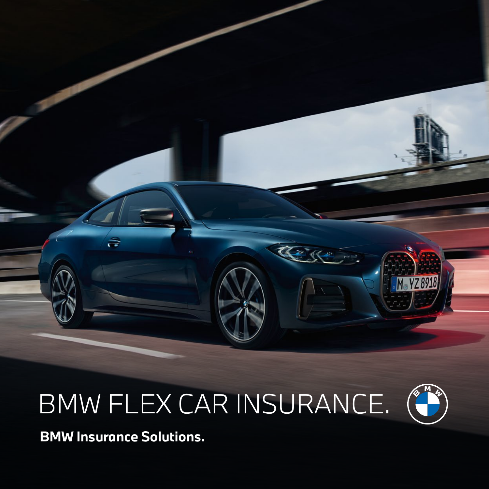

# BMW FLEX CAR INSURANCE.



**BMW Insurance Solutions.**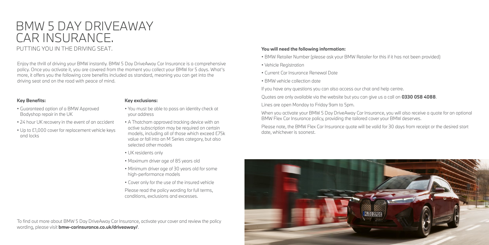#### PUTTING YOU IN THE DRIVING SEAT.

Enjoy the thrill of driving your BMW instantly. BMW 5 Day DriveAway Car Insurance is a comprehensive policy. Once you activate it, you are covered from the moment you collect your BMW for 5 days. What's more, it offers you the following core benefits included as standard, meaning you can get into the driving seat and on the road with peace of mind.

To find out more about BMW 5 Day DriveAway Car Insurance, activate your cover and review the policy wording, please visit **[bmw-carinsurance.co.uk/driveaway/](http://bmw-carinsurance.co.uk/driveaway/)**.

# BMW 5 DAY DRIVEAWAY CAR INSURANCE.

#### **Key Benefits:**

- Guaranteed option of a BMW Approved Bodyshop repair in the UK
- 24 hour UK recovery in the event of an accident
- Up to £1,000 cover for replacement vehicle keys and locks

#### **Key exclusions:**

- You must be able to pass an identity check at your address
- A Thatcham approved tracking device with an active subscription may be required on certain models, including all of those which exceed £75k value or fall into an M Series category, but also selected other models
- UK residents only
- Maximum driver age of 85 years old
- Minimum driver age of 30 years old for some high-performance models
- Cover only for the use of the insured vehicle

Please read the policy wording for full terms, conditions, exclusions and excesses.

#### **You will need the following information:**

- BMW Retailer Number (please ask your BMW Retailer for this if it has not been provided)
- Vehicle Registration
- Current Car Insurance Renewal Date
- BMW vehicle collection date

If you have any questions you can also access our chat and help centre.

Quotes are only available via the website but you can give us a call on **0330 058 4088**.

Lines are open Monday to Friday 9am to 5pm.

When you activate your BMW 5 Day DriveAway Car Insurance, you will also receive a quote for an optional BMW Flex Car Insurance policy, providing the tailored cover your BMW deserves.

Please note, the BMW Flex Car Insurance quote will be valid for 30 days from receipt or the desired start date, whichever is soonest.

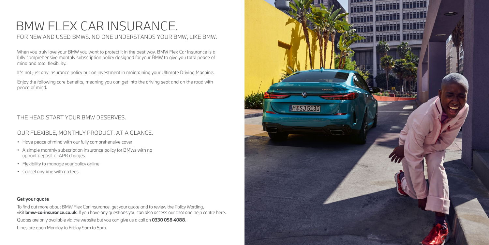### FOR NEW AND USED BMWS. NO ONE UNDERSTANDS YOUR BMW, LIKE BMW.

# BMW FLEX CAR INSURANCE.

When you truly love your BMW you want to protect it in the best way. BMW Flex Car Insurance is a fully comprehensive monthly subscription policy designed for your BMW to give you total peace of mind and total flexibility.

It's not just any insurance policy but an investment in maintaining your Ultimate Driving Machine.

Enjoy the following core benefits, meaning you can get into the driving seat and on the road with peace of mind.

- Have peace of mind with our fully comprehensive cover
- A simple monthly subscription insurance policy for BMWs with no upfront deposit or APR charges
- Flexibility to manage your policy online
- Cancel anytime with no fees

### OUR FLEXIBLE, MONTHLY PRODUCT. AT A GLANCE.

### THE HEAD START YOUR BMW DESERVES.

#### **Get your quote**

To find out more about BMW Flex Car Insurance, get your quote and to review the Policy Wording, visit **[bmw-carinsurance.co.uk](https://bmw-carinsurance.co.uk/?source=POS_Brochure&campaign=HY2_Loyalty
)**. If you have any questions you can also access our chat and help centre here. Quotes are only available via the website but you can give us a call on **0330 058 4088**.

Lines are open Monday to Friday 9am to 5pm.

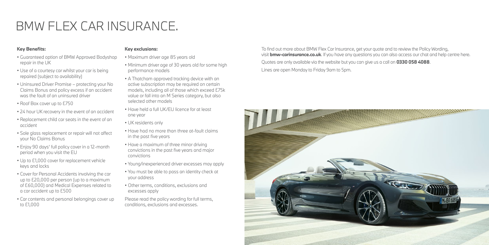To find out more about BMW Flex Car Insurance, get your quote and to review the Policy Wording, visit **[bmw-carinsurance.co.uk](http://bmw-carinsurance.co.uk)**. If you have any questions you can also access our chat and help centre here. Quotes are only available via the website but you can give us a call on **0330 058 4088**. Lines are open Monday to Friday 9am to 5pm.



#### **Key Benefits:**

- Guaranteed option of BMW Approved Bodyshop repair in the UK
- Use of a courtesy car whilst your car is being repaired (subject to availability)
- Uninsured Driver Promise protecting your No Claims Bonus and policy excess if an accident was the fault of an uninsured driver
- Roof Box cover up to £750
- 24 hour UK recovery in the event of an accident
- Replacement child car seats in the event of an accident
- Sole glass replacement or repair will not affect your No Claims Bonus
- Enjoy 90 days' full policy cover in a 12-month period when you visit the EU
- Up to £1,000 cover for replacement vehicle keys and locks
- Cover for Personal Accidents involving the car up to £20,000 per person (up to a maximum of £60,000) and Medical Expenses related to a car accident up to £500
- Car contents and personal belongings cover up to £1,000

#### **Key exclusions:**

- Maximum driver age 85 years old
- Minimum driver age of 30 years old for some high performance models
- A Thatcham approved tracking device with an active subscription may be required on certain models, including all of those which exceed £75k value or fall into an M Series category, but also selected other models
- Have held a full UK/EU licence for at least one year
- UK residents only
- Have had no more than three at-fault claims in the past five years
- Have a maximum of three minor driving convictions in the past five years and major convictions
- Young/inexperienced driver excesses may apply
- You must be able to pass an identity check at your address
- Other terms, conditions, exclusions and excesses apply

Please read the policy wording for full terms, conditions, exclusions and excesses.

# BMW FLEX CAR INSURANCE.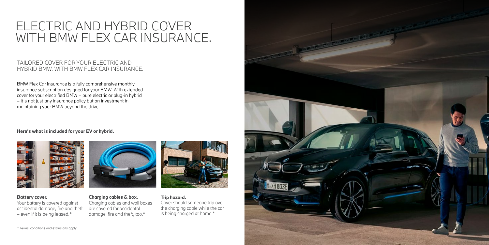#### **Battery cover.**

Your battery is covered against accidental damage, fire and theft – even if it is being leased.\*



### **Charging cables & box.**

Charging cables and wall boxes are covered for accidental damage, fire and theft, too.\*



**Trip hazard.** Cover should someone trip over

the charging cable while the car is being charged at home.\*



#### TAILORED COVER FOR YOUR ELECTRIC AND HYBRID BMW. WITH BMW FLEX CAR INSURANCE.

BMW Flex Car Insurance is a fully comprehensive monthly insurance subscription designed for your BMW. With extended cover for your electrified BMW – pure electric or plug-in hybrid – it's not just any insurance policy but an investment in maintaining your BMW beyond the drive.

#### **Here's what is included for your EV or hybrid.**



## ELECTRIC AND HYBRID COVER WITH BMW FLEX CAR INSURANCE.